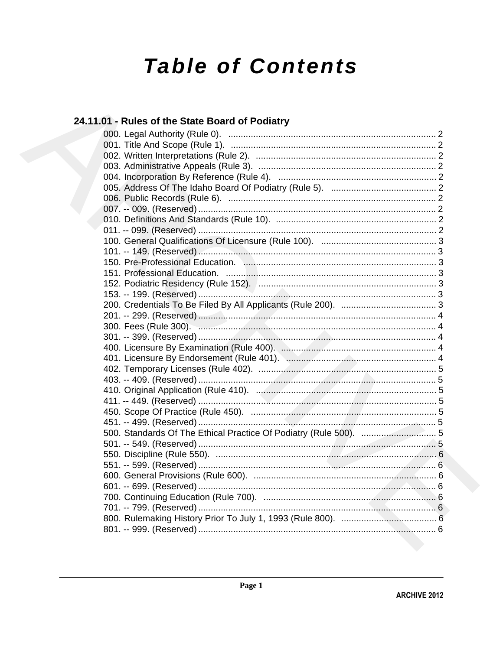# **Table of Contents**

## 24.11.01 - Rules of the State Board of Podiatry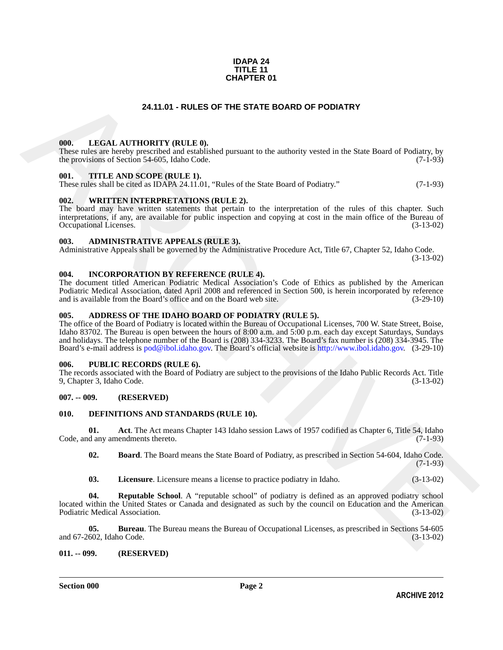#### **IDAPA 24 TITLE 11 CHAPTER 01**

#### **24.11.01 - RULES OF THE STATE BOARD OF PODIATRY**

#### <span id="page-1-1"></span><span id="page-1-0"></span>**000. LEGAL AUTHORITY (RULE 0).**

These rules are hereby prescribed and established pursuant to the authority vested in the State Board of Podiatry, by the provisions of Section 54-605, Idaho Code. (7-1-93)

#### <span id="page-1-2"></span>**001. TITLE AND SCOPE (RULE 1).**

These rules shall be cited as IDAPA 24.11.01, "Rules of the State Board of Podiatry." (7-1-93)

#### <span id="page-1-3"></span>**002. WRITTEN INTERPRETATIONS (RULE 2).**

The board may have written statements that pertain to the interpretation of the rules of this chapter. Such interpretations, if any, are available for public inspection and copying at cost in the main office of the Bureau of Occupational Licenses. (3-13-02) Occupational Licenses.

#### <span id="page-1-4"></span>**003. ADMINISTRATIVE APPEALS (RULE 3).**

Administrative Appeals shall be governed by the Administrative Procedure Act, Title 67, Chapter 52, Idaho Code.

(3-13-02)

#### <span id="page-1-5"></span>**004. INCORPORATION BY REFERENCE (RULE 4).**

The document titled American Podiatric Medical Association's Code of Ethics as published by the American Podiatric Medical Association, dated April 2008 and referenced in Section 500, is herein incorporated by reference and is available from the Board's office and on the Board web site. (3-29-10) and is available from the Board's office and on the Board web site.

#### <span id="page-1-6"></span>**005. ADDRESS OF THE IDAHO BOARD OF PODIATRY (RULE 5).**

**24.11.01 - RULES OF THE STATE BOARD OF PODIATRY<br>
1968.** I.E.GAT. AITTIORITY (RIT.E.0).<br>
These mission profile procedures into considered protune to the ambienty vested in the State Board of Podiaty.<br>
1970. THE AND FORE ( The office of the Board of Podiatry is located within the Bureau of Occupational Licenses, 700 W. State Street, Boise, Idaho 83702. The Bureau is open between the hours of 8:00 a.m. and 5:00 p.m. each day except Saturdays, Sundays and holidays. The telephone number of the Board is (208) 334-3233. The Board's fax number is (208) 334-3945. The Board's e-mail address is pod@ibol.idaho.gov. The Board's official website is http://www.ibol.idaho.gov. (3-29-10)

#### <span id="page-1-7"></span>**006. PUBLIC RECORDS (RULE 6).**

The records associated with the Board of Podiatry are subject to the provisions of the Idaho Public Records Act. Title 9, Chapter 3, Idaho Code. (3-13-02) 9, Chapter 3, Idaho Code.

#### <span id="page-1-8"></span>**007. -- 009. (RESERVED)**

#### <span id="page-1-11"></span><span id="page-1-9"></span>**010. DEFINITIONS AND STANDARDS (RULE 10).**

**01. Act**. The Act means Chapter 143 Idaho session Laws of 1957 codified as Chapter 6, Title 54, Idaho Code, and any amendments thereto. (7-1-93)

<span id="page-1-13"></span><span id="page-1-12"></span>**02. Board**. The Board means the State Board of Podiatry, as prescribed in Section 54-604, Idaho Code.  $(7-1-93)$ 

<span id="page-1-16"></span><span id="page-1-15"></span><span id="page-1-14"></span>**03. Licensure**. Licensure means a license to practice podiatry in Idaho. (3-13-02)

**04. Reputable School**. A "reputable school" of podiatry is defined as an approved podiatry school located within the United States or Canada and designated as such by the council on Education and the American Podiatric Medical Association. (3-13-02)

**05. Bureau**. The Bureau means the Bureau of Occupational Licenses, as prescribed in Sections 54-605 602, Idaho Code. (3-13-02) and 67-2602, Idaho Code.

#### <span id="page-1-10"></span>**011. -- 099. (RESERVED)**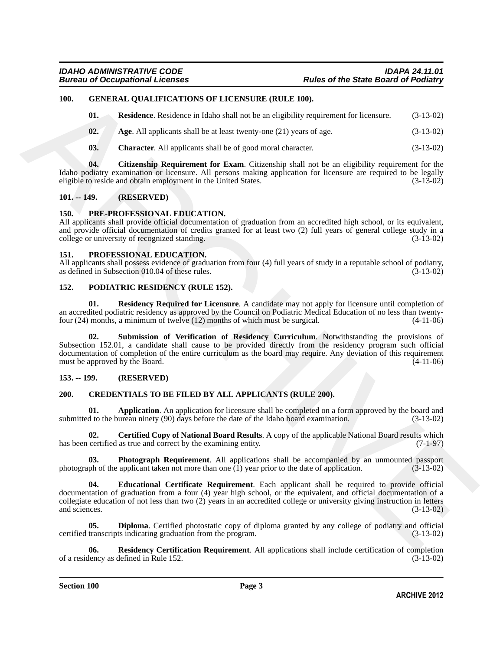#### <span id="page-2-0"></span>**100. GENERAL QUALIFICATIONS OF LICENSURE (RULE 100).**

<span id="page-2-18"></span><span id="page-2-14"></span>**01.** Residence. Residence in Idaho shall not be an eligibility requirement for licensure. (3-13-02)

- <span id="page-2-15"></span>**02.** Age. All applicants shall be at least twenty-one (21) years of age.  $(3-13-02)$
- <span id="page-2-17"></span><span id="page-2-16"></span>**03. Character**. All applicants shall be of good moral character. (3-13-02)

**04. Citizenship Requirement for Exam**. Citizenship shall not be an eligibility requirement for the Idaho podiatry examination or licensure. All persons making application for licensure are required to be legally eligible to reside and obtain employment in the United States. (3-13-02) eligible to reside and obtain employment in the United States.

#### <span id="page-2-22"></span><span id="page-2-1"></span>**101. -- 149. (RESERVED)**

#### <span id="page-2-2"></span>**150. PRE-PROFESSIONAL EDUCATION.**

All applicants shall provide official documentation of graduation from an accredited high school, or its equivalent, and provide official documentation of credits granted for at least two (2) full years of general college study in a college or university of recognized standing. (3-13-02) college or university of recognized standing.

#### <span id="page-2-23"></span><span id="page-2-3"></span>**151. PROFESSIONAL EDUCATION.**

All applicants shall possess evidence of graduation from four (4) full years of study in a reputable school of podiatry, as defined in Subsection 010.04 of these rules. (3-13-02) as defined in Subsection 010.04 of these rules.

#### <span id="page-2-19"></span><span id="page-2-4"></span>**152. PODIATRIC RESIDENCY (RULE 152).**

<span id="page-2-21"></span><span id="page-2-20"></span>**01. Residency Required for Licensure**. A candidate may not apply for licensure until completion of an accredited podiatric residency as approved by the Council on Podiatric Medical Education of no less than twenty-<br>four (24) months, a minimum of twelve (12) months of which must be surgical. (4-11-06) four  $(24)$  months, a minimum of twelve  $(12)$  months of which must be surgical.

10h. **GENERAL QUALIFICATIONS OF LIGENSITER (RTLE R60**).<br> **61. Realtives:** Realtower in blanching the bust web the antilligibitive spinorize of Electrical (3-13-02)<br> **62. Age.** All asylicans shall be of good unoted cha **02. Submission of Verification of Residency Curriculum**. Notwithstanding the provisions of Subsection 152.01, a candidate shall cause to be provided directly from the residency program such official documentation of completion of the entire curriculum as the board may require. Any deviation of this requirement must be approved by the Board. (4-11-06)

#### <span id="page-2-5"></span>**153. -- 199. (RESERVED)**

#### <span id="page-2-7"></span><span id="page-2-6"></span>**200. CREDENTIALS TO BE FILED BY ALL APPLICANTS (RULE 200).**

<span id="page-2-8"></span>**01. Application**. An application for licensure shall be completed on a form approved by the board and d to the bureau ninety (90) days before the date of the Idaho board examination. (3-13-02) submitted to the bureau ninety (90) days before the date of the Idaho board examination.

<span id="page-2-9"></span>**02. Certified Copy of National Board Results**. A copy of the applicable National Board results which has been certified as true and correct by the examining entity. (7-1-97)

<span id="page-2-12"></span>**03. Photograph Requirement**. All applications shall be accompanied by an unmounted passport of the applicant taken not more than one (1) year prior to the date of application. (3-13-02) photograph of the applicant taken not more than one  $\overline{(1)}$  year prior to the date of application.

<span id="page-2-11"></span>**04. Educational Certificate Requirement**. Each applicant shall be required to provide official documentation of graduation from a four (4) year high school, or the equivalent, and official documentation of a collegiate education of not less than two  $(2)$  years in an accredited college or university giving instruction in letters and sciences.  $(3-13-02)$ and sciences.  $(3-13-02)$ 

<span id="page-2-10"></span>**05. Diploma**. Certified photostatic copy of diploma granted by any college of podiatry and official transcripts indicating graduation from the program. (3-13-02) certified transcripts indicating graduation from the program.

<span id="page-2-13"></span>**Residency Certification Requirement**. All applications shall include certification of completion defined in Rule 152. (3-13-02) of a residency as defined in Rule 152.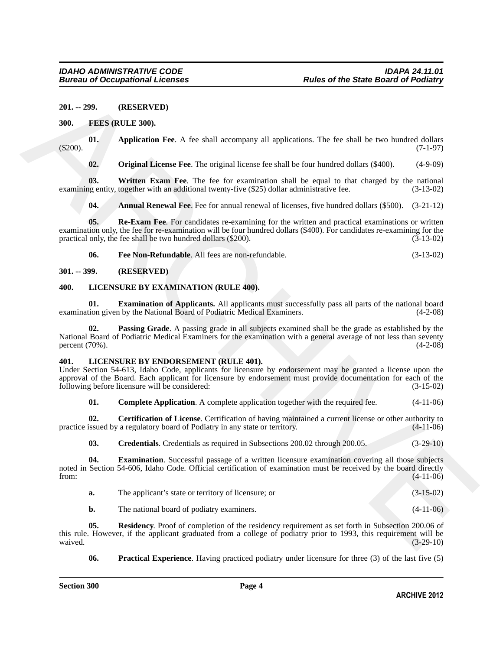<span id="page-3-0"></span>**201. -- 299. (RESERVED)**

#### <span id="page-3-5"></span><span id="page-3-1"></span>**300. FEES (RULE 300).**

**01.** Application Fee. A fee shall accompany all applications. The fee shall be two hundred dollars (7-1-97) (\$200). (7-1-97)

<span id="page-3-11"></span><span id="page-3-9"></span><span id="page-3-7"></span>**02. Original License Fee**. The original license fee shall be four hundred dollars (\$400). (4-9-09)

**03. Written Exam Fee**. The fee for examination shall be equal to that charged by the national examining entity, together with an additional twenty-five (\$25) dollar administrative fee. (3-13-02)

<span id="page-3-10"></span><span id="page-3-6"></span>**04. Annual Renewal Fee**. Fee for annual renewal of licenses, five hundred dollars (\$500). (3-21-12)

**05. Re-Exam Fee**. For candidates re-examining for the written and practical examinations or written examination only, the fee for re-examination will be four hundred dollars (\$400). For candidates re-examining for the practical only, the fee shall be two hundred dollars (\$200).  $(3-13-02)$ practical only, the fee shall be two hundred dollars (\$200).

<span id="page-3-20"></span><span id="page-3-19"></span><span id="page-3-8"></span>**06. Fee Non-Refundable**. All fees are non-refundable. (3-13-02)

<span id="page-3-2"></span>**301. -- 399. (RESERVED)**

#### <span id="page-3-3"></span>**400. LICENSURE BY EXAMINATION (RULE 400).**

**01. Examination of Applicants.** All applicants must successfully pass all parts of the national board tion given by the National Board of Podiatric Medical Examiners. (4-2-08) examination given by the National Board of Podiatric Medical Examiners.

<span id="page-3-21"></span>**02. Passing Grade**. A passing grade in all subjects examined shall be the grade as established by the National Board of Podiatric Medical Examiners for the examination with a general average of not less than seventy percent (70%). (4-2-08) percent (70%).

#### <span id="page-3-12"></span><span id="page-3-4"></span>**401. LICENSURE BY ENDORSEMENT (RULE 401).**

Under Section 54-613, Idaho Code, applicants for licensure by endorsement may be granted a license upon the approval of the Board. Each applicant for licensure by endorsement must provide documentation for each of the following before licensure will be considered: (3-15-02) following before licensure will be considered:

<span id="page-3-14"></span><span id="page-3-13"></span>**01. Complete Application**. A complete application together with the required fee.  $(4-11-06)$ 

**02. Certification of License**. Certification of having maintained a current license or other authority to issued by a regulatory board of Podiatry in any state or territory. (4-11-06) practice issued by a regulatory board of Podiatry in any state or territory.

<span id="page-3-16"></span><span id="page-3-15"></span>**03. Credentials**. Credentials as required in Subsections 200.02 through 200.05. (3-29-10)

**04. Examination**. Successful passage of a written licensure examination covering all those subjects noted in Section 54-606, Idaho Code. Official certification of examination must be received by the board directly from: (4-11-06) from: (4-11-06)

<span id="page-3-18"></span>

| The applicant's state or territory of licensure; or | $(3-15-02)$ |
|-----------------------------------------------------|-------------|
| The national board of podiatry examiners.           | $(4-11-06)$ |

201. - 299. (RESERVED)<br>
300. FRES (RELE 200).<br>
(45200). Application Fee. A fec shall accompany all applications. The foc shall be two hundred dollars<br>
(45200).<br>
(45200). Original License Fee. The toriginal locuse (c shall **05.** Residency. Proof of completion of the residency requirement as set forth in Subsection 200.06 of this rule. However, if the applicant graduated from a college of podiatry prior to 1993, this requirement will be waived. (3-29-10) waived.  $(3-29-10)$ 

<span id="page-3-17"></span>**06. Practical Experience**. Having practiced podiatry under licensure for three (3) of the last five (5)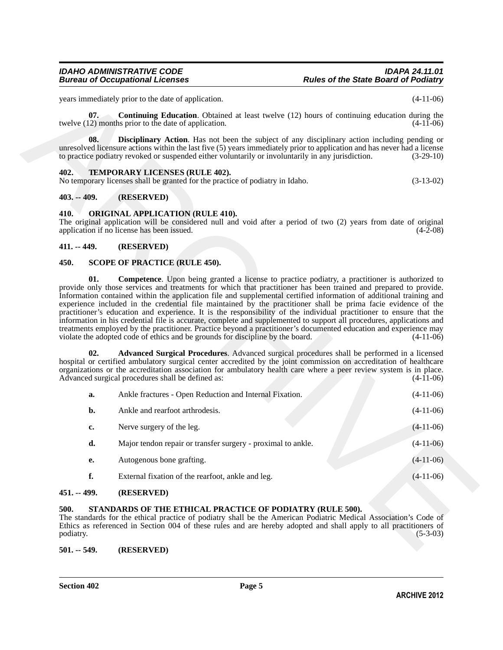#### <span id="page-4-15"></span><span id="page-4-9"></span><span id="page-4-8"></span><span id="page-4-0"></span>**402. TEMPORARY LICENSES (RULE 402).**

#### <span id="page-4-1"></span>**403. -- 409. (RESERVED)**

#### <span id="page-4-10"></span><span id="page-4-2"></span>**410. ORIGINAL APPLICATION (RULE 410).**

#### <span id="page-4-3"></span>**411. -- 449. (RESERVED)**

#### <span id="page-4-13"></span><span id="page-4-12"></span><span id="page-4-11"></span><span id="page-4-4"></span>**450. SCOPE OF PRACTICE (RULE 450).**

|                   | years immediately prior to the date of application.                                                                                                                                                                                                                                                                                                                                                                                                                                                                                                                                                                                                                                                                                                                                                                                                                                                                                                                                                                                                                                         | $(4-11-06)$                |  |  |
|-------------------|---------------------------------------------------------------------------------------------------------------------------------------------------------------------------------------------------------------------------------------------------------------------------------------------------------------------------------------------------------------------------------------------------------------------------------------------------------------------------------------------------------------------------------------------------------------------------------------------------------------------------------------------------------------------------------------------------------------------------------------------------------------------------------------------------------------------------------------------------------------------------------------------------------------------------------------------------------------------------------------------------------------------------------------------------------------------------------------------|----------------------------|--|--|
| 07.               | <b>Continuing Education.</b> Obtained at least twelve (12) hours of continuing education during the<br>twelve (12) months prior to the date of application.                                                                                                                                                                                                                                                                                                                                                                                                                                                                                                                                                                                                                                                                                                                                                                                                                                                                                                                                 | $(4-11-06)$                |  |  |
| 08.               | <b>Disciplinary Action.</b> Has not been the subject of any disciplinary action including pending or<br>unresolved licensure actions within the last five (5) years immediately prior to application and has never had a license<br>to practice podiatry revoked or suspended either voluntarily or involuntarily in any jurisdiction.                                                                                                                                                                                                                                                                                                                                                                                                                                                                                                                                                                                                                                                                                                                                                      | $(3-29-10)$                |  |  |
| 402.              | <b>TEMPORARY LICENSES (RULE 402).</b><br>No temporary licenses shall be granted for the practice of podiatry in Idaho.                                                                                                                                                                                                                                                                                                                                                                                                                                                                                                                                                                                                                                                                                                                                                                                                                                                                                                                                                                      | $(3-13-02)$                |  |  |
| $403. - 409.$     | (RESERVED)                                                                                                                                                                                                                                                                                                                                                                                                                                                                                                                                                                                                                                                                                                                                                                                                                                                                                                                                                                                                                                                                                  |                            |  |  |
| 410.              | <b>ORIGINAL APPLICATION (RULE 410).</b><br>The original application will be considered null and void after a period of two (2) years from date of original<br>application if no license has been issued.                                                                                                                                                                                                                                                                                                                                                                                                                                                                                                                                                                                                                                                                                                                                                                                                                                                                                    | $(4-2-08)$                 |  |  |
| $411. - 449.$     | (RESERVED)                                                                                                                                                                                                                                                                                                                                                                                                                                                                                                                                                                                                                                                                                                                                                                                                                                                                                                                                                                                                                                                                                  |                            |  |  |
| 450.              | <b>SCOPE OF PRACTICE (RULE 450).</b>                                                                                                                                                                                                                                                                                                                                                                                                                                                                                                                                                                                                                                                                                                                                                                                                                                                                                                                                                                                                                                                        |                            |  |  |
| 02.               | Information contained within the application file and supplemental certified information of additional training and<br>experience included in the credential file maintained by the practitioner shall be prima facie evidence of the<br>practitioner's education and experience. It is the responsibility of the individual practitioner to ensure that the<br>information in his credential file is accurate, complete and supplemented to support all procedures, applications and<br>treatments employed by the practitioner. Practice beyond a practitioner's documented education and experience may<br>violate the adopted code of ethics and be grounds for discipline by the board.<br>Advanced Surgical Procedures. Advanced surgical procedures shall be performed in a licensed<br>hospital or certified ambulatory surgical center accredited by the joint commission on accreditation of healthcare<br>organizations or the accreditation association for ambulatory health care where a peer review system is in place.<br>Advanced surgical procedures shall be defined as: | $(4-11-06)$<br>$(4-11-06)$ |  |  |
| a.                | Ankle fractures - Open Reduction and Internal Fixation.                                                                                                                                                                                                                                                                                                                                                                                                                                                                                                                                                                                                                                                                                                                                                                                                                                                                                                                                                                                                                                     | $(4-11-06)$                |  |  |
| b.                | Ankle and rearfoot arthrodesis.                                                                                                                                                                                                                                                                                                                                                                                                                                                                                                                                                                                                                                                                                                                                                                                                                                                                                                                                                                                                                                                             | $(4-11-06)$                |  |  |
| c.                | Nerve surgery of the leg.                                                                                                                                                                                                                                                                                                                                                                                                                                                                                                                                                                                                                                                                                                                                                                                                                                                                                                                                                                                                                                                                   | $(4-11-06)$                |  |  |
| d.                | Major tendon repair or transfer surgery - proximal to ankle.                                                                                                                                                                                                                                                                                                                                                                                                                                                                                                                                                                                                                                                                                                                                                                                                                                                                                                                                                                                                                                | $(4-11-06)$                |  |  |
| е.                | Autogenous bone grafting.                                                                                                                                                                                                                                                                                                                                                                                                                                                                                                                                                                                                                                                                                                                                                                                                                                                                                                                                                                                                                                                                   | $(4-11-06)$                |  |  |
| f.                | External fixation of the rearfoot, ankle and leg.                                                                                                                                                                                                                                                                                                                                                                                                                                                                                                                                                                                                                                                                                                                                                                                                                                                                                                                                                                                                                                           | $(4-11-06)$                |  |  |
| $451. - 499.$     | (RESERVED)                                                                                                                                                                                                                                                                                                                                                                                                                                                                                                                                                                                                                                                                                                                                                                                                                                                                                                                                                                                                                                                                                  |                            |  |  |
| 500.<br>podiatry. | STANDARDS OF THE ETHICAL PRACTICE OF PODIATRY (RULE 500).<br>The standards for the ethical practice of podiatry shall be the American Podiatric Medical Association's Code of<br>Ethics as referenced in Section 004 of these rules and are hereby adopted and shall apply to all practitioners of<br>$(5-3-03)$                                                                                                                                                                                                                                                                                                                                                                                                                                                                                                                                                                                                                                                                                                                                                                            |                            |  |  |
| $501 - 549$       | (RESERVED)                                                                                                                                                                                                                                                                                                                                                                                                                                                                                                                                                                                                                                                                                                                                                                                                                                                                                                                                                                                                                                                                                  |                            |  |  |

#### <span id="page-4-5"></span>**451. -- 499. (RESERVED)**

#### <span id="page-4-14"></span><span id="page-4-6"></span>**500. STANDARDS OF THE ETHICAL PRACTICE OF PODIATRY (RULE 500).**

#### <span id="page-4-7"></span>**501. -- 549. (RESERVED)**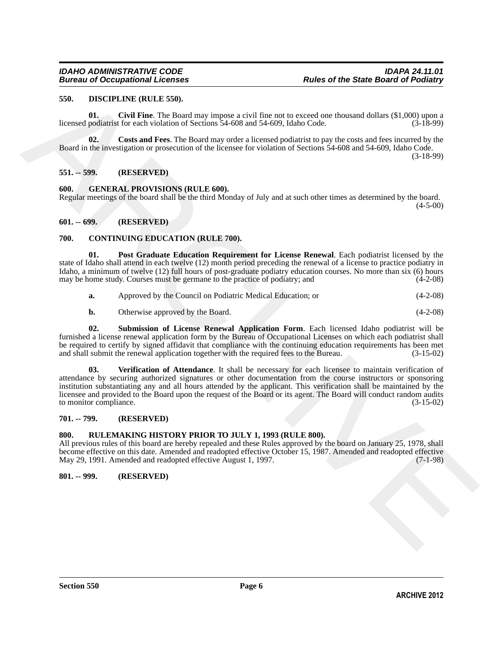#### <span id="page-5-12"></span><span id="page-5-0"></span>**550. DISCIPLINE (RULE 550).**

<span id="page-5-13"></span>**01. Civil Fine**. The Board may impose a civil fine not to exceed one thousand dollars (\$1,000) upon a licensed podiatrist for each violation of Sections 54-608 and 54-609, Idaho Code. (3-18-99)

<span id="page-5-14"></span>**02.** Costs and Fees. The Board may order a licensed podiatrist to pay the costs and fees incurred by the Board in the investigation or prosecution of the licensee for violation of Sections 54-608 and 54-609, Idaho Code. (3-18-99)

<span id="page-5-1"></span>**551. -- 599. (RESERVED)**

<span id="page-5-15"></span><span id="page-5-2"></span>**600. GENERAL PROVISIONS (RULE 600).**

Regular meetings of the board shall be the third Monday of July and at such other times as determined by the board.  $(4-5-00)$ 

#### <span id="page-5-3"></span>**601. -- 699. (RESERVED)**

#### <span id="page-5-8"></span><span id="page-5-4"></span>**700. CONTINUING EDUCATION (RULE 700).**

**01. Post Graduate Education Requirement for License Renewal**. Each podiatrist licensed by the state of Idaho shall attend in each twelve (12) month period preceding the renewal of a license to practice podiatry in Idaho, a minimum of twelve (12) full hours of post-graduate podiatry education courses. No more than six (6) hours may be home study. Courses must be germane to the practice of podiatry: and (4-2-08) may be home study. Courses must be germane to the practice of podiatry; and

<span id="page-5-9"></span>

| a. | Approved by the Council on Podiatric Medical Education; or | $(4-2-08)$ |
|----|------------------------------------------------------------|------------|
|----|------------------------------------------------------------|------------|

<span id="page-5-11"></span><span id="page-5-10"></span>**b.** Otherwise approved by the Board. (4-2-08)

**02. Submission of License Renewal Application Form**. Each licensed Idaho podiatrist will be furnished a license renewal application form by the Bureau of Occupational Licenses on which each podiatrist shall be required to certify by signed affidavit that compliance with the continuing education requirements has been met and shall submit the renewal application together with the required fees to the Bureau. (3-15-02) and shall submit the renewal application together with the required fees to the Bureau.

ARCHIVE **03. Verification of Attendance**. It shall be necessary for each licensee to maintain verification of attendance by securing authorized signatures or other documentation from the course instructors or sponsoring institution substantiating any and all hours attended by the applicant. This verification shall be maintained by the licensee and provided to the Board upon the request of the Board or its agent. The Board will conduct random audits to monitor compliance. (3-15-02) to monitor compliance.

#### <span id="page-5-5"></span>**701. -- 799. (RESERVED)**

#### <span id="page-5-6"></span>**800. RULEMAKING HISTORY PRIOR TO JULY 1, 1993 (RULE 800).**

All previous rules of this board are hereby repealed and these Rules approved by the board on January 25, 1978, shall become effective on this date. Amended and readopted effective October 15, 1987. Amended and readopted effective May 29, 1991. Amended and readopted effective August 1, 1997. (7-1-98) May 29, 1991. Amended and readopted effective August 1, 1997.

#### <span id="page-5-7"></span>**801. -- 999. (RESERVED)**